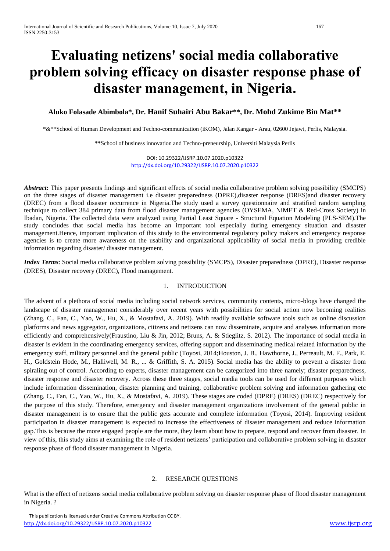# **Evaluating netizens' social media collaborative problem solving efficacy on disaster response phase of disaster management, in Nigeria.**

### **Aluko Folasade Abimbola\*, Dr. Hanif Suhairi Abu Bakar\*\*, Dr. Mohd Zukime Bin Mat\*\***

\*&\*\*School of Human Development and Techno-communication (iKOM), Jalan Kangar - Arau, 02600 Jejawi, Perlis, Malaysia.

**\*\***School of business innovation and Techno-preneurship, Universiti Malaysia Perlis

DOI: 10.29322/IJSRP.10.07.2020.p10322 <http://dx.doi.org/10.29322/IJSRP.10.07.2020.p10322>

*Abstract***:** This paper presents findings and significant effects of social media collaborative problem solving possibility (SMCPS) on the three stages of disaster management i.e disaster preparedness (DPRE),disaster response (DRES)and disaster recovery (DREC) from a flood disaster occurrence in Nigeria.The study used a survey questionnaire and stratified random sampling technique to collect 384 primary data from flood disaster management agencies (OYSEMA, NiMET & Red-Cross Society) in Ibadan, Nigeria. The collected data were analyzed using Partial Least Square - Structural Equation Modeling (PLS-SEM).The study concludes that social media has become an important tool especially during emergency situation and disaster management.Hence, important implication of this study to the environmental regulatory policy makers and emergency response agencies is to create more awareness on the usability and organizational applicability of social media in providing credible information regarding disaster/ disaster management.

*Index Terms*: Social media collaborative problem solving possibility (SMCPS), Disaster preparedness (DPRE), Disaster response (DRES), Disaster recovery (DREC), Flood management.

### 1. INTRODUCTION

The advent of a plethora of social media including social network services, community contents, micro-blogs have changed the landscape of disaster management considerably over recent years with possibilities for social action now becoming realities (Zhang, C., Fan, C., Yao, W., Hu, X., & Mostafavi, A. 2019). With readily available software tools such as online discussion platforms and news aggregator, organizations, citizens and netizens can now disseminate, acquire and analyses information more efficiently and comprehensively(Fraustino, Liu & Jin, 2012; Bruns, A. & Stieglitz, S. 2012). The importance of social media in disaster is evident in the coordinating emergency services, offering support and disseminating medical related information by the emergency staff, military personnel and the general public (Toyosi, 2014;Houston, J. B., Hawthorne, J., Perreault, M. F., Park, E. H., Goldstein Hode, M., Halliwell, M. R., ... & Griffith, S. A. 2015). Social media has the ability to prevent a disaster from spiraling out of control. According to experts, disaster management can be categorized into three namely; disaster preparedness, disaster response and disaster recovery. Across these three stages, social media tools can be used for different purposes which include information dissemination, disaster planning and training, collaborative problem solving and information gathering etc (Zhang, C., Fan, C., Yao, W., Hu, X., & Mostafavi, A. 2019). These stages are coded (DPRE) (DRES) (DREC) respectively for the purpose of this study. Therefore, emergency and disaster management organizations involvement of the general public in disaster management is to ensure that the public gets accurate and complete information (Toyosi, 2014). Improving resident participation in disaster management is expected to increase the effectiveness of disaster management and reduce information gap.This is because the more engaged people are the more, they learn about how to prepare, respond and recover from disaster. In view of this, this study aims at examining the role of resident netizens' participation and collaborative problem solving in disaster response phase of flood disaster management in Nigeria.

#### 2. RESEARCH QUESTIONS

What is the effect of netizens social media collaborative problem solving on disaster response phase of flood disaster management in Nigeria. ?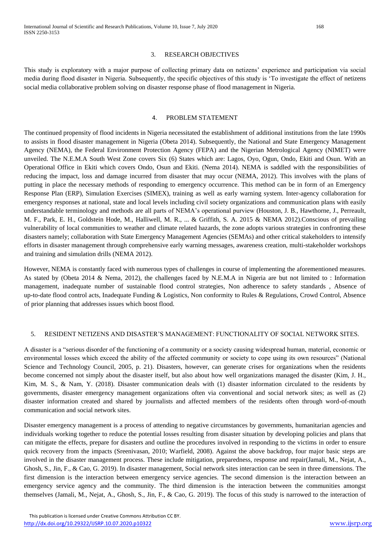### 3. RESEARCH OBJECTIVES

This study is exploratory with a major purpose of collecting primary data on netizens' experience and participation via social media during flood disaster in Nigeria. Subsequently, the specific objectives of this study is 'To investigate the effect of netizens social media collaborative problem solving on disaster response phase of flood management in Nigeria.

### 4. PROBLEM STATEMENT

The continued propensity of flood incidents in Nigeria necessitated the establishment of additional institutions from the late 1990s to assists in flood disaster management in Nigeria (Obeta 2014). Subsequently, the National and State Emergency Management Agency (NEMA), the Federal Environment Protection Agency (FEPA) and the Nigerian Metrological Agency (NIMET) were unveiled. The N.E.M.A South West Zone covers Six (6) States which are: Lagos, Oyo, Ogun, Ondo, Ekiti and Osun. With an Operational Office in Ekiti which covers Ondo, Osun and Ekiti. (Nema 2014). NEMA is saddled with the responsibilities of reducing the impact, loss and damage incurred from disaster that may occur (NEMA, 2012). This involves with the plans of putting in place the necessary methods of responding to emergency occurrence. This method can be in form of an Emergency Response Plan (ERP), Simulation Exercises (SIMEX), training as well as early warning system. Inter-agency collaboration for emergency responses at national, state and local levels including civil society organizations and communication plans with easily understandable terminology and methods are all parts of NEMA's operational purview (Houston, J. B., Hawthorne, J., Perreault, M. F., Park, E. H., Goldstein Hode, M., Halliwell, M. R., ... & Griffith, S. A. 2015 & NEMA 2012).Conscious of prevailing vulnerability of local communities to weather and climate related hazards, the zone adopts various strategies in confronting these disasters namely; collaboration with State Emergency Management Agencies (SEMAs) and other critical stakeholders to intensify efforts in disaster management through comprehensive early warning messages, awareness creation, multi-stakeholder workshops and training and simulation drills (NEMA 2012).

However, NEMA is constantly faced with numerous types of challenges in course of implementing the aforementioned measures. As stated by (Obeta 2014 & Nema, 2012), the challenges faced by N.E.M.A in Nigeria are but not limited to : Information management, inadequate number of sustainable flood control strategies, Non adherence to safety standards , Absence of up-to-date flood control acts, Inadequate Funding & Logistics, Non conformity to Rules & Regulations, Crowd Control, Absence of prior planning that addresses issues which boost flood.

### 5. RESIDENT NETIZENS AND DISASTER'S MANAGEMENT: FUNCTIONALITY OF SOCIAL NETWORK SITES.

A disaster is a "serious disorder of the functioning of a community or a society causing widespread human, material, economic or environmental losses which exceed the ability of the affected community or society to cope using its own resources" (National Science and Technology Council, 2005, p. 21). Disasters, however, can generate crises for organizations when the residents become concerned not simply about the disaster itself, but also about how well organizations managed the disaster (Kim, J. H., Kim, M. S., & Nam, Y. (2018). Disaster communication deals with (1) disaster information circulated to the residents by governments, disaster emergency management organizations often via conventional and social network sites; as well as (2) disaster information created and shared by journalists and affected members of the residents often through word-of-mouth communication and social network sites.

Disaster emergency management is a process of attending to negative circumstances by governments, humanitarian agencies and individuals working together to reduce the potential losses resulting from disaster situation by developing policies and plans that can mitigate the effects, prepare for disasters and outline the procedures involved in responding to the victims in order to ensure quick recovery from the impacts (Sreenivasan, 2010; Warfield, 2008). Against the above backdrop, four major basic steps are involved in the disaster management process. These include mitigation, preparedness, response and repair(Jamali, M., Nejat, A., Ghosh, S., Jin, F., & Cao, G. 2019). In disaster management, Social network sites interaction can be seen in three dimensions. The first dimension is the interaction between emergency service agencies. The second dimension is the interaction between an emergency service agency and the community. The third dimension is the interaction between the communities amongst themselves (Jamali, M., Nejat, A., Ghosh, S., Jin, F., & Cao, G. 2019). The focus of this study is narrowed to the interaction of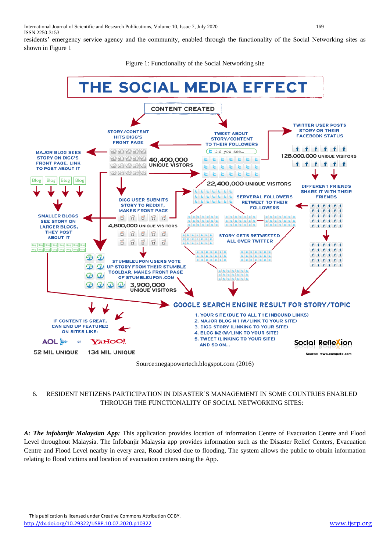residents' emergency service agency and the community, enabled through the functionality of the Social Networking sites as shown in Figure 1

Figure 1: Functionality of the Social Networking site



### 6. RESIDENT NETIZENS PARTICIPATION IN DISASTER'S MANAGEMENT IN SOME COUNTRIES ENABLED THROUGH THE FUNCTIONALITY OF SOCIAL NETWORKING SITES:

*A: The infobanjir Malaysian App:* This application provides location of information Centre of Evacuation Centre and Flood Level throughout Malaysia. The Infobanjir Malaysia app provides information such as the Disaster Relief Centers, Evacuation Centre and Flood Level nearby in every area, Road closed due to flooding, The system allows the public to obtain information relating to flood victims and location of evacuation centers using the App.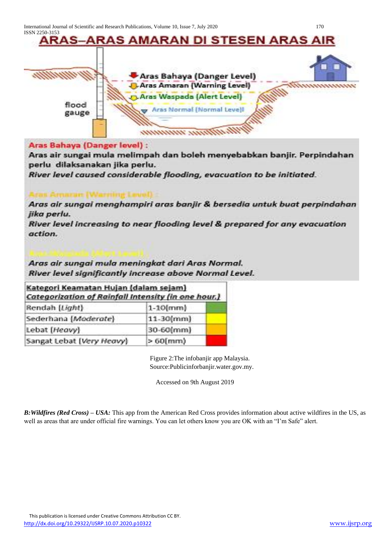

### Aras Bahaya (Danger level) :

Aras air sungai mula melimpah dan boleh menyebabkan banjir. Perpindahan perlu dilaksanakan jika perlu.

River level caused considerable flooding, evacuation to be initiated.

Aras air sungai menghampiri aras banjir & bersedia untuk buat perpindahan jika perlu.

River level increasing to near flooding level & prepared for any evacuation action.

### Aras air sungai mula meningkat dari Aras Normal. River level significantly increase above Normal Level.

| Kategori Keamatan Hujan (dalam sejam)<br>Categorization of Rainfall Intensity (in one hour.) |              |  |  |
|----------------------------------------------------------------------------------------------|--------------|--|--|
| Rendah [Light]                                                                               | $1-10$ [mm]  |  |  |
| Sederhana (Moderate)                                                                         | $11-30$ (mm) |  |  |
| Lebat [Heavy]                                                                                | 30-60(mm)    |  |  |
| Sangat Lebat (Very Heavy)                                                                    | $>60$ [mm)   |  |  |

Figure 2:The infobanjir app Malaysia. Source:Publicinforbanjir.water.gov.my.

Accessed on 9th August 2019

*B[:Wildfires](https://play.google.com/store/apps/details?id=com.cube.arc.wfa) (Red Cross) – USA:* This app from the American Red Cross provides information about active wildfires in the US, as well as areas that are under official fire warnings. You can let others know you are OK with an "I'm Safe" alert.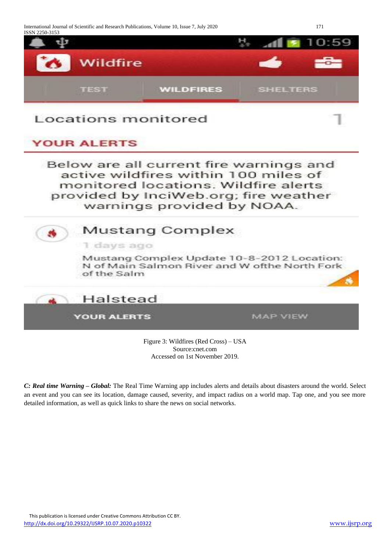International Journal of Scientific and Research Publications, Volume 10, Issue 7, July 2020 171 ISSN 2250-3153



### Locations monitored

### **YOUR ALERTS**

Below are all current fire warnings and active wildfires within 100 miles of monitored locations. Wildfire alerts provided by InciWeb.org; fire weather warnings provided by NOAA.

## **Mustang Complex** 1 days ago Mustang Complex Update 10-8-2012 Location: N of Main Salmon River and W ofthe North Fork of the Salm Halstead

**YOUR ALERTS** 

**MAP VIEW** 

Figure 3: [Wildfires](https://play.google.com/store/apps/details?id=com.cube.arc.wfa) (Red Cross) – USA Source:cnet.com Accessed on 1st November 2019.

*C: Real time Warning – Global:* The Real Time Warning app includes alerts and details about disasters around the world. Select an event and you can see its location, damage caused, severity, and impact radius on a world map. Tap one, and you see more detailed information, as well as quick links to share the news on social networks.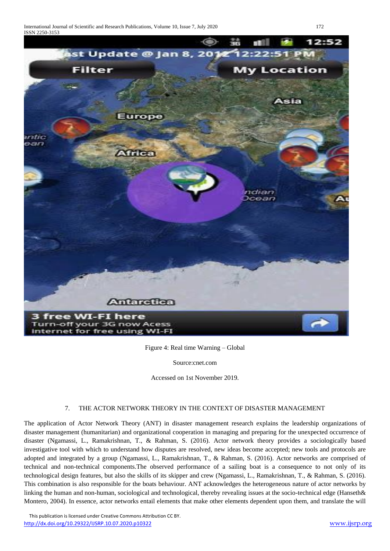

Figure 4: Real time Warning – Global

Source:cnet.com

Accessed on 1st November 2019.

### 7. THE ACTOR NETWORK THEORY IN THE CONTEXT OF DISASTER MANAGEMENT

The application of Actor Network Theory (ANT) in disaster management research explains the leadership organizations of disaster management (humanitarian) and organizational cooperation in managing and preparing for the unexpected occurrence of disaster (Ngamassi, L., Ramakrishnan, T., & Rahman, S. (2016). Actor network theory provides a sociologically based investigative tool with which to understand how disputes are resolved, new ideas become accepted; new tools and protocols are adopted and integrated by a group (Ngamassi, L., Ramakrishnan, T., & Rahman, S. (2016). Actor networks are comprised of technical and non-technical components.The observed performance of a sailing boat is a consequence to not only of its technological design features, but also the skills of its skipper and crew (Ngamassi, L., Ramakrishnan, T., & Rahman, S. (2016). This combination is also responsible for the boats behaviour. ANT acknowledges the heterogeneous nature of actor networks by linking the human and non-human, sociological and technological, thereby revealing issues at the socio-technical edge (Hanseth& Montero, 2004). In essence, actor networks entail elements that make other elements dependent upon them, and translate the will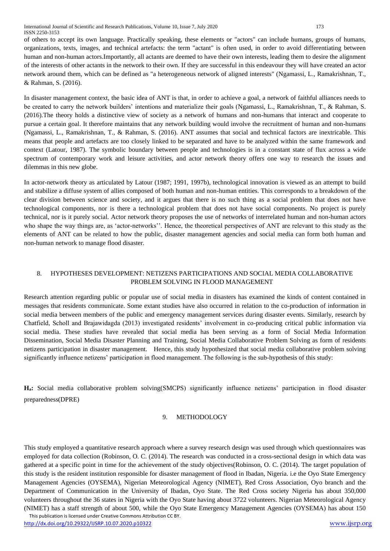of others to accept its own language. Practically speaking, these elements or "actors" can include humans, groups of humans, organizations, texts, images, and technical artefacts: the term "actant" is often used, in order to avoid differentiating between human and non-human actors.Importantly, all actants are deemed to have their own interests, leading them to desire the alignment of the interests of other actants in the network to their own. If they are successful in this endeavour they will have created an actor network around them, which can be defined as "a heterogeneous network of aligned interests" (Ngamassi, L., Ramakrishnan, T., & Rahman, S. (2016).

In disaster management context, the basic idea of ANT is that, in order to achieve a goal, a network of faithful alliances needs to be created to carry the network builders' intentions and materialize their goals (Ngamassi, L., Ramakrishnan, T., & Rahman, S. (2016).The theory holds a distinctive view of society as a network of humans and non-humans that interact and cooperate to pursue a certain goal. It therefore maintains that any network building would involve the recruitment of human and non-humans (Ngamassi, L., Ramakrishnan, T., & Rahman, S. (2016). ANT assumes that social and technical factors are inextricable. This means that people and artefacts are too closely linked to be separated and have to be analyzed within the same framework and context (Latour, 1987). The symbolic boundary between people and technologies is in a constant state of flux across a wide spectrum of contemporary work and leisure activities, and actor network theory offers one way to research the issues and dilemmas in this new globe.

In actor-network theory as articulated by Latour (1987; 1991, 1997b), technological innovation is viewed as an attempt to build and stabilize a diffuse system of allies composed of both human and non-human entities. This corresponds to a breakdown of the clear division between science and society, and it argues that there is no such thing as a social problem that does not have technological components, nor is there a technological problem that does not have social components. No project is purely technical, nor is it purely social. Actor network theory proposes the use of networks of interrelated human and non-human actors who shape the way things are, as 'actor-networks''. Hence, the theoretical perspectives of ANT are relevant to this study as the elements of ANT can be related to how the public, disaster management agencies and social media can form both human and non-human network to manage flood disaster.

### 8. HYPOTHESES DEVELOPMENT: NETIZENS PARTICIPATIONS AND SOCIAL MEDIA COLLABORATIVE PROBLEM SOLVING IN FLOOD MANAGEMENT

Research attention regarding public or popular use of social media in disasters has examined the kinds of content contained in messages that residents communicate. Some extant studies have also occurred in relation to the co-production of information in social media between members of the public and emergency management services during disaster events. Similarly, research by Chatfield, Scholl and Brajawidagda (2013) investigated residents' involvement in co-producing critical public information via social media. These studies have revealed that social media has been serving as a form of Social Media Information Dissemination, Social Media Disaster Planning and Training, Social Media Collaborative Problem Solving as form of residents netizens participation in disaster management. Hence, this study hypothesized that social media collaborative problem solving significantly influence netizens' participation in flood management. The following is the sub-hypothesis of this study:

**Ha:** Social media collaborative problem solving(SMCPS) significantly influence netizens' participation in flood disaster preparedness(DPRE)

### 9. METHODOLOGY

This study employed a quantitative research approach where a survey research design was used through which questionnaires was employed for data collection (Robinson, O. C. (2014). The research was conducted in a cross-sectional design in which data was gathered at a specific point in time for the achievement of the study objectives(Robinson, O. C. (2014). The target population of this study is the resident institution responsible for disaster management of flood in Ibadan, Nigeria. i.e the Oyo State Emergency Management Agencies (OYSEMA), Nigerian Meteorological Agency (NIMET), Red Cross Association, Oyo branch and the Department of Communication in the University of Ibadan, Oyo State. The Red Cross society Nigeria has about 350,000 volunteers throughout the 36 states in Nigeria with the Oyo State having about 3722 volunteers. Nigerian Meteorological Agency (NIMET) has a staff strength of about 500, while the Oyo State Emergency Management Agencies (OYSEMA) has about 150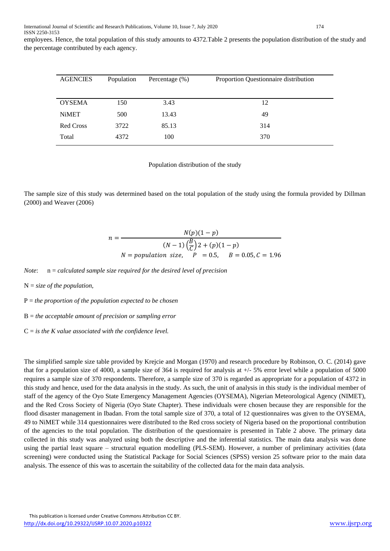employees. Hence, the total population of this study amounts to 4372.Table 2 presents the population distribution of the study and the percentage contributed by each agency.

| <b>AGENCIES</b>  | Population | Percentage $(\% )$ | Proportion Questionnaire distribution |  |
|------------------|------------|--------------------|---------------------------------------|--|
|                  |            |                    |                                       |  |
| <b>OYSEMA</b>    | 150        | 3.43               | 12                                    |  |
| <b>NiMET</b>     | 500        | 13.43              | 49                                    |  |
| <b>Red Cross</b> | 3722       | 85.13              | 314                                   |  |
| Total            | 4372       | 100                | 370                                   |  |

Population distribution of the study

The sample size of this study was determined based on the total population of the study using the formula provided by Dillman (2000) and Weaver (2006)

$$
n = \frac{N(p)(1-p)}{(N-1)\left(\frac{B}{C}\right)2 + (p)(1-p)}
$$
  
N = population size, P = 0.5, B = 0.05, C = 1.96

*Note*: n = *calculated sample size required for the desired level of precision*

N = *size of the population,*

P = *the proportion of the population expected to be chosen*

B = *the acceptable amount of precision or sampling error*

C = *is the K value associated with the confidence level.*

The simplified sample size table provided by Krejcie and Morgan (1970) and research procedure by Robinson, O. C. (2014) gave that for a population size of 4000, a sample size of 364 is required for analysis at +/- 5% error level while a population of 5000 requires a sample size of 370 respondents. Therefore, a sample size of 370 is regarded as appropriate for a population of 4372 in this study and hence, used for the data analysis in the study. As such, the unit of analysis in this study is the individual member of staff of the agency of the Oyo State Emergency Management Agencies (OYSEMA), Nigerian Meteorological Agency (NIMET), and the Red Cross Society of Nigeria (Oyo State Chapter). These individuals were chosen because they are responsible for the flood disaster management in Ibadan. From the total sample size of 370, a total of 12 questionnaires was given to the OYSEMA, 49 to NiMET while 314 questionnaires were distributed to the Red cross society of Nigeria based on the proportional contribution of the agencies to the total population. The distribution of the questionnaire is presented in Table 2 above. The primary data collected in this study was analyzed using both the descriptive and the inferential statistics. The main data analysis was done using the partial least square – structural equation modelling (PLS-SEM). However, a number of preliminary activities (data screening) were conducted using the Statistical Package for Social Sciences (SPSS) version 25 software prior to the main data analysis. The essence of this was to ascertain the suitability of the collected data for the main data analysis.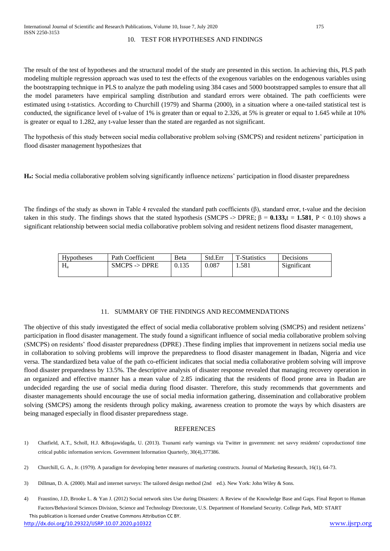### 10. TEST FOR HYPOTHESES AND FINDINGS

The result of the test of hypotheses and the structural model of the study are presented in this section. In achieving this, PLS path modeling multiple regression approach was used to test the effects of the exogenous variables on the endogenous variables using the bootstrapping technique in PLS to analyze the path modeling using 384 cases and 5000 bootstrapped samples to ensure that all the model parameters have empirical sampling distribution and standard errors were obtained. The path coefficients were estimated using t-statistics. According to Churchill (1979) and Sharma (2000), in a situation where a one-tailed statistical test is conducted, the significance level of t-value of 1% is greater than or equal to 2.326, at 5% is greater or equal to 1.645 while at 10% is greater or equal to 1.282, any t-value lesser than the stated are regarded as not significant.

The hypothesis of this study between social media collaborative problem solving (SMCPS) and resident netizens' participation in flood disaster management hypothesizes that

**Ha:** Social media collaborative problem solving significantly influence netizens' participation in flood disaster preparedness

The findings of the study as shown in Table 4 revealed the standard path coefficients  $(\beta)$ , standard error, t-value and the decision taken in this study. The findings shows that the stated hypothesis (SMCPS -> DPRE;  $β = 0.133$ ,t = 1.581, P < 0.10) shows a significant relationship between social media collaborative problem solving and resident netizens flood disaster management,

| Hypotheses | Path Coefficient         | <b>B</b> eta | Std.Err | <b>T-Statistics</b> | Decisions   |
|------------|--------------------------|--------------|---------|---------------------|-------------|
| $H_a$      | $SMCPS \rightarrow DPRE$ | 0.135        | 0.087   | 1.581               | Significant |

### 11. SUMMARY OF THE FINDINGS AND RECOMMENDATIONS

The objective of this study investigated the effect of social media collaborative problem solving (SMCPS) and resident netizens' participation in flood disaster management. The study found a significant influence of social media collaborative problem solving (SMCPS) on residents' flood disaster preparedness (DPRE) .These finding implies that improvement in netizens social media use in collaboration to solving problems will improve the preparedness to flood disaster management in Ibadan, Nigeria and vice versa. The standardized beta value of the path co-efficient indicates that social media collaborative problem solving will improve flood disaster preparedness by 13.5%. The descriptive analysis of disaster response revealed that managing recovery operation in an organized and effective manner has a mean value of 2.85 indicating that the residents of flood prone area in Ibadan are undecided regarding the use of social media during flood disaster. Therefore, this study recommends that governments and disaster managements should encourage the use of social media information gathering, dissemination and collaborative problem solving (SMCPS) among the residents through policy making, awareness creation to promote the ways by which disasters are being managed especially in flood disaster preparedness stage.

### **REFERENCES**

- 1) Chatfield, A.T., Scholl, H.J. &Brajawidagda, U. (2013). Tsunami early warnings via Twitter in government: net savvy residents' coproductionof time critical public information services. Government Information Quarterly, 30(4),377386.
- 2) Churchill, G. A., Jr. (1979). A paradigm for developing better measures of marketing constructs. Journal of Marketing Research, 16(1), 64-73.
- 3) Dillman, D. A. (2000). Mail and internet surveys: The tailored design method (2nd ed.). New York: John Wiley & Sons.
- 4) Fraustino, J.D, Brooke L. & Yan J. (2012) Social network sites Use during Disasters: A Review of the Knowledge Base and Gaps. Final Report to Human Factors/Behavioral Sciences Division, Science and Technology Directorate, U.S. Department of Homeland Security. College Park, MD: START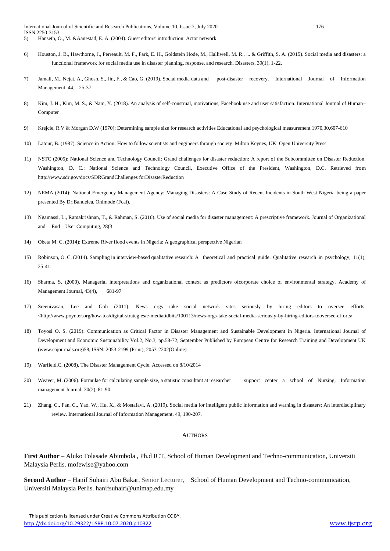- 6) Houston, J. B., Hawthorne, J., Perreault, M. F., Park, E. H., Goldstein Hode, M., Halliwell, M. R., ... & Griffith, S. A. (2015). Social media and disasters: a functional framework for social media use in disaster planning, response, and research. Disasters, 39(1), 1-22.
- 7) Jamali, M., Nejat, A., Ghosh, S., Jin, F., & Cao, G. (2019). Social media data and post-disaster recovery. International Journal of Information Management, 44, 25-37.
- 8) Kim, J. H., Kim, M. S., & Nam, Y. (2018). An analysis of self-construal, motivations, Facebook use and user satisfaction. International Journal of Human– Computer
- 9) Krejcie, R.V & Morgan D.W (1970): Determining sample size for research activities Educational and psychological measurement 1970,30,607-610
- 10) Latour, B. (1987). Science in Action: How to follow scientists and engineers through society. Milton Keynes, UK: Open University Press.
- 11) NSTC (2005): National Science and Technology Council: Grand challenges for disaster reduction: A report of the Subcommittee on Disaster Reduction. Washington, D. C.: National Science and Technology Council, Executive Office of the President, Washington, D.C. Retrieved from http://www.sdr.gov/docs/SDRGrandChallenges forDisasterReduction
- 12) NEMA (2014): National Emergency Management Agency: Managing Disasters: A Case Study of Recent Incidents in South West Nigeria being a paper presented By Dr.Bandelea. Onimode (Fcai).
- 13) Ngamassi, L., Ramakrishnan, T., & Rahman, S. (2016). Use of social media for disaster management: A prescriptive framework. Journal of Organizational and End User Computing, 28(3
- 14) Obeta M. C. (2014): Extreme River flood events in Nigeria: A geographical perspective Nigerian
- 15) Robinson, O. C. (2014). Sampling in interview-based qualitative research: A theoretical and practical guide. Qualitative research in psychology, 11(1), 25-41.
- 16) Sharma, S. (2000). Managerial interpretations and organizational context as predictors ofcorporate choice of environmental strategy. Academy of Management Journal, 43(4), 681-97
- 17) Sreenivasan, Lee and Goh (2011). News orgs take social network sites seriously by hiring editors to oversee efforts. <http://www.poynter.org/how-tos/digital-strategies/e-mediatidbits/100113/news-orgs-take-social-media-seriously-by-hiring-editors-tooversee-efforts/
- 18) Toyosi O. S. (2019): Communication as Critical Factor in Disaster Management and Sustainable Development in Nigeria. International Journal of Development and Economic Sustainability Vol.2, No.3, pp.58-72, September Published by European Centre for Research Training and Development UK (www.eajournals.org)58, ISSN: 2053-2199 (Print), 2053-2202(Online)
- 19) Warfield,C. (2008). The Disaster Management Cycle. Accessed on 8/10/2014
- 20) Weaver, M. (2006). Formulae for calculating sample size, a statistic consultant at researcher support center a school of Nursing. Information management Journal, 30(2), 81-90.
- 21) Zhang, C., Fan, C., Yao, W., Hu, X., & Mostafavi, A. (2019). Social media for intelligent public information and warning in disasters: An interdisciplinary review. International Journal of Information Management, 49, 190-207.

#### **AUTHORS**

**First Author** – Aluko Folasade Abimbola , Ph.d ICT, School of Human Development and Techno-communication, Universiti Malaysia Perlis. mofewise@yahoo.com

**Second Author** – Hanif Suhairi Abu Bakar, Senior Lecturer, School of Human Development and Techno-communication, Universiti Malaysia Perlis. hanifsuhairi@unimap.edu.my